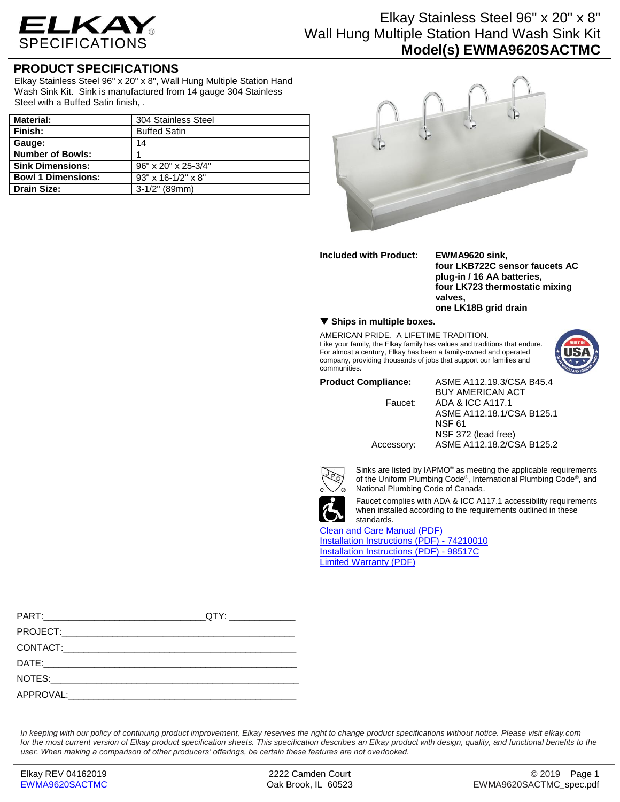

## Elkay Stainless Steel 96" x 20" x 8" Wall Hung Multiple Station Hand Wash Sink Kit **Model(s) EWMA9620SACTMC**

### **PRODUCT SPECIFICATIONS**

Elkay Stainless Steel 96" x 20" x 8", Wall Hung Multiple Station Hand Wash Sink Kit. Sink is manufactured from 14 gauge 304 Stainless Steel with a Buffed Satin finish, .

| Material:                 | 304 Stainless Steel              |
|---------------------------|----------------------------------|
| l Finish:                 | <b>Buffed Satin</b>              |
| Gauge:                    | 14                               |
| Number of Bowls:          |                                  |
| <b>Sink Dimensions:</b>   | 96" x 20" x 25-3/4"              |
| <b>Bowl 1 Dimensions:</b> | $93" \times 16 - 1/2" \times 8"$ |
| Drain Size:               | $3-1/2$ " (89mm)                 |



**Included with Product: EWMA9620 sink,**

**four LKB722C sensor faucets AC plug-in / 16 AA batteries, four LK723 thermostatic mixing valves, one LK18B grid drain**

### **Ships in multiple boxes.**

AMERICAN PRIDE. A LIFETIME TRADITION. Like your family, the Elkay family has values and traditions that endure. For almost a century, Elkay has been a family-owned and operated company, providing thousands of jobs that support our families and communities.

**Product Compliance:** ASME A112.19.3/CSA B45.4 BUY AMERICAN ACT Faucet: ADA & ICC A117.1 ASME A112.18.1/CSA B125.1 NSF 61 NSF 372 (lead free) Accessory: ASME A112.18.2/CSA B125.2

Sinks are listed by IAPMO® as meeting the applicable requirements of the Uniform Plumbing Code®, International Plumbing Code®, and National Plumbing Code of Canada.



Faucet complies with ADA & ICC A117.1 accessibility requirements when installed according to the requirements outlined in these

### [Clean and Care Manual \(PDF\)](http://www.elkay.com/wcsstore/lkdocs/care-cleaning-install-warranty-sheets/residential%20and%20commercial%20care%20%20cleaning.pdf)

[Installation Instructions \(PDF\) -](http://www.elkay.com/wcsstore/lkdocs/care-cleaning-install-warranty-sheets/74210010.pdf) 7421001[0](http://www.elkay.com/wcsstore/lkdocs/care-cleaning-install-warranty-sheets/74210010.pdf) [Installation Instructions \(PDF\) -](http://www.elkay.com/wcsstore/lkdocs/care-cleaning-install-warranty-sheets/98517c.pdf) 98517[C](http://www.elkay.com/wcsstore/lkdocs/care-cleaning-install-warranty-sheets/98517c.pdf) [Limited Warranty](http://www.elkay.com/wcsstore/lkdocs/care-cleaning-install-warranty-sheets/commercial%20sinks%20and%20faucets%20warranty.pdf) (PDF)

| QTY: _______________ |
|----------------------|
|                      |
|                      |
|                      |
|                      |
|                      |

*In keeping with our policy of continuing product improvement, Elkay reserves the right to change product specifications without notice. Please visit elkay.com*  for the most current version of Elkay product specification sheets. This specification describes an Elkay product with design, quality, and functional benefits to the *user. When making a comparison of other producers' offerings, be certain these features are not overlooked.*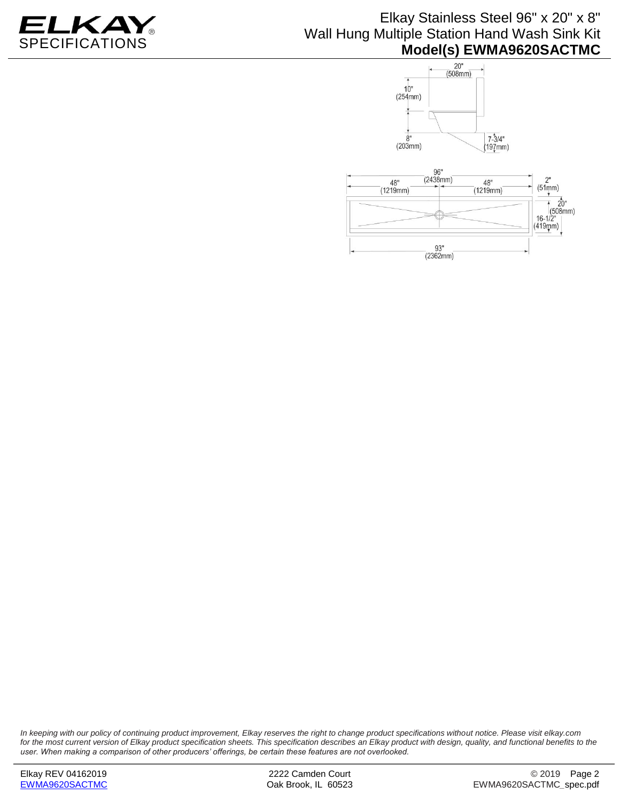

# Elkay Stainless Steel 96" x 20" x 8" Wall Hung Multiple Station Hand Wash Sink Kit **Model(s) EWMA9620SACTMC**



*In keeping with our policy of continuing product improvement, Elkay reserves the right to change product specifications without notice. Please visit elkay.com for the most current version of Elkay product specification sheets. This specification describes an Elkay product with design, quality, and functional benefits to the user. When making a comparison of other producers' offerings, be certain these features are not overlooked.*